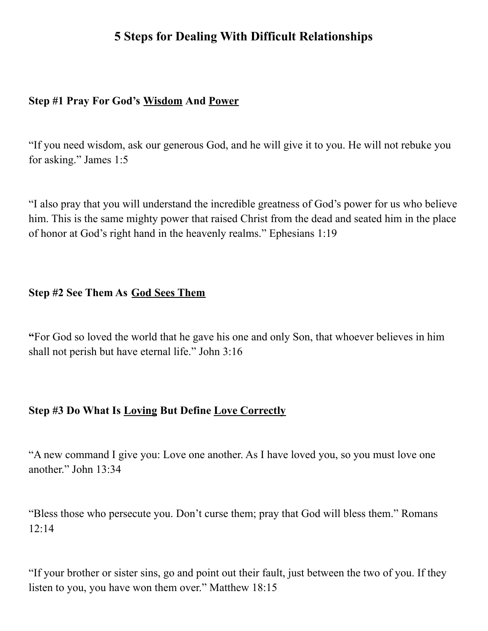# **5 Steps for Dealing With Difficult Relationships**

## **Step #1 Pray For God's Wisdom And Power**

"If you need wisdom, ask our generous God, and he will give it to you. He will not rebuke you for asking." James 1:5

"I also pray that you will understand the incredible greatness of God's power for us who believe him. This is the same mighty power that raised Christ from the dead and seated him in the place of honor at God's right hand in the heavenly realms." Ephesians 1:19

## **Step #2 See Them As God Sees Them**

**"**For God so loved the world that he gave his one and only Son, that whoever believes in him shall not perish but have eternal life." John 3:16

## **Step #3 Do What Is Loving But Define Love Correctly**

"A new command I give you: Love one another. As I have loved you, so you must love one another." John 13:34

"Bless those who persecute you. Don't curse them; pray that God will bless them." Romans 12:14

"If your brother or sister sins, go and point out their fault, just between the two of you. If they listen to you, you have won them over." Matthew 18:15